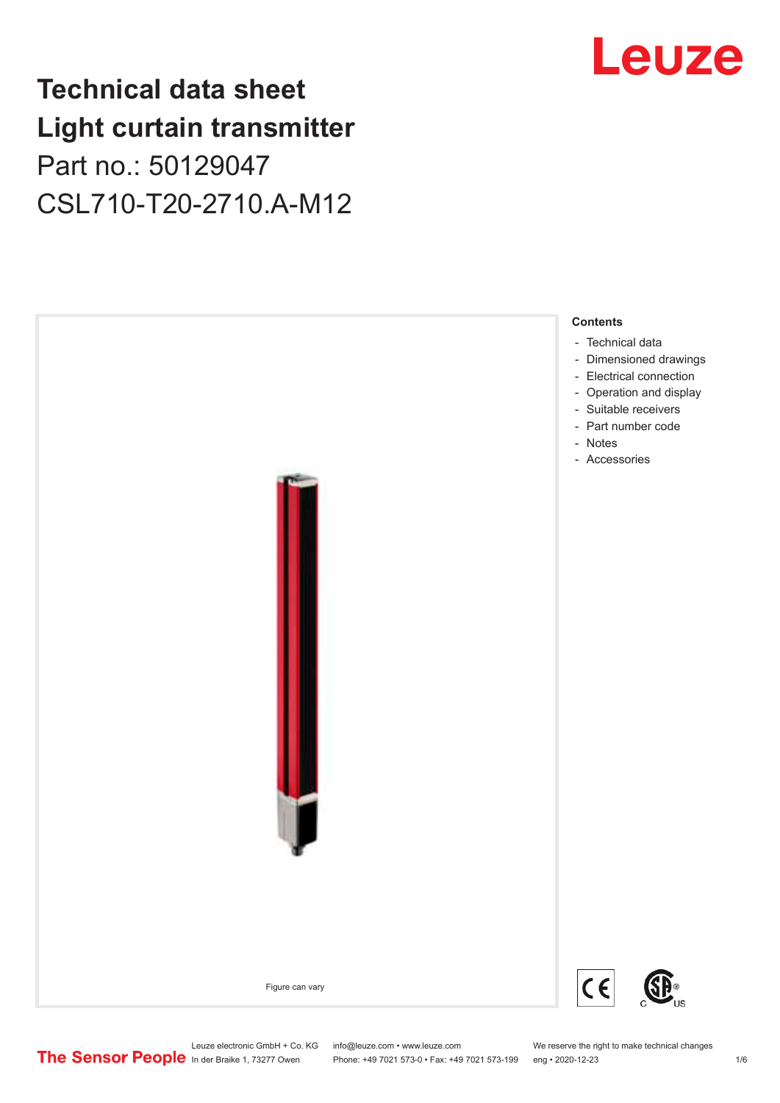## **Technical data sheet Light curtain transmitter** Part no.: 50129047 CSL710-T20-2710.A-M12



## Leuze

Leuze electronic GmbH + Co. KG info@leuze.com • www.leuze.com We reserve the right to make technical changes<br>
The Sensor People in der Braike 1, 73277 Owen Phone: +49 7021 573-0 • Fax: +49 7021 573-199 eng • 2020-12-23

Phone: +49 7021 573-0 • Fax: +49 7021 573-199 eng • 2020-12-23 1 76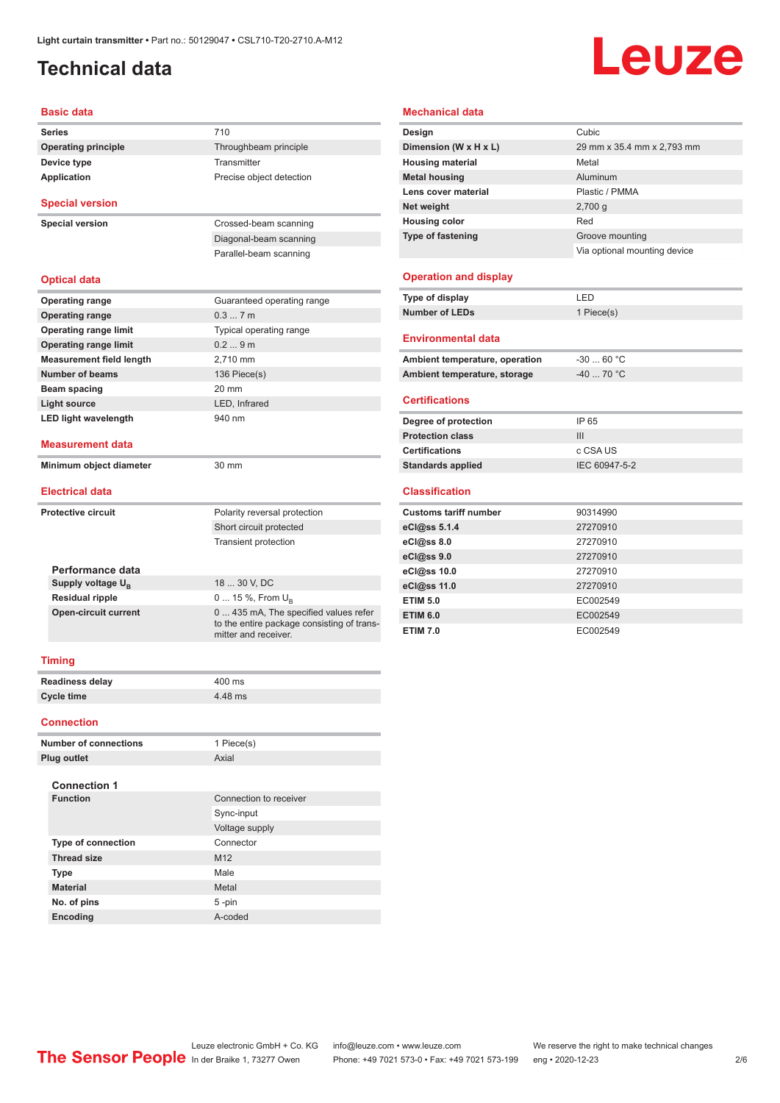## <span id="page-1-0"></span>**Technical data**

## Leuze

#### **Basic data**

|                              | Dasit uata                      |                                                                                                             |
|------------------------------|---------------------------------|-------------------------------------------------------------------------------------------------------------|
|                              | <b>Series</b>                   | 710                                                                                                         |
|                              | <b>Operating principle</b>      | Throughbeam principle                                                                                       |
|                              | Device type                     | Transmitter                                                                                                 |
|                              | Application                     | Precise object detection                                                                                    |
|                              | <b>Special version</b>          |                                                                                                             |
|                              | <b>Special version</b>          | Crossed-beam scanning                                                                                       |
|                              |                                 | Diagonal-beam scanning                                                                                      |
|                              |                                 | Parallel-beam scanning                                                                                      |
|                              |                                 |                                                                                                             |
|                              | <b>Optical data</b>             |                                                                                                             |
|                              | <b>Operating range</b>          | Guaranteed operating range                                                                                  |
|                              | <b>Operating range</b>          | 0.37m                                                                                                       |
|                              | <b>Operating range limit</b>    | Typical operating range                                                                                     |
|                              | <b>Operating range limit</b>    | 0.29m                                                                                                       |
|                              | <b>Measurement field length</b> | 2,710 mm                                                                                                    |
|                              | <b>Number of beams</b>          | 136 Piece(s)                                                                                                |
|                              | Beam spacing                    | 20 mm                                                                                                       |
|                              | <b>Light source</b>             | LED. Infrared                                                                                               |
|                              | <b>LED light wavelength</b>     | 940 nm                                                                                                      |
|                              | <b>Measurement data</b>         |                                                                                                             |
|                              | Minimum object diameter         | 30 mm                                                                                                       |
|                              |                                 |                                                                                                             |
|                              | <b>Electrical data</b>          |                                                                                                             |
|                              | <b>Protective circuit</b>       | Polarity reversal protection                                                                                |
|                              |                                 | Short circuit protected                                                                                     |
|                              |                                 | <b>Transient protection</b>                                                                                 |
|                              |                                 |                                                                                                             |
|                              | Performance data                |                                                                                                             |
|                              | Supply voltage $U_{\rm B}$      | 18  30 V, DC                                                                                                |
|                              | <b>Residual ripple</b>          | 0  15 %, From $U_{\rm B}$                                                                                   |
|                              | <b>Open-circuit current</b>     | 0  435 mA, The specified values refer<br>to the entire package consisting of trans-<br>mitter and receiver. |
|                              | <b>Timing</b>                   |                                                                                                             |
|                              | <b>Readiness delay</b>          | 400 ms                                                                                                      |
|                              | <b>Cycle time</b>               | 4.48 ms                                                                                                     |
|                              | <b>Connection</b>               |                                                                                                             |
|                              |                                 | 1 Piece(s)                                                                                                  |
| <b>Number of connections</b> |                                 | Axial                                                                                                       |
|                              | <b>Plug outlet</b>              |                                                                                                             |
|                              | <b>Connection 1</b>             |                                                                                                             |
|                              | <b>Function</b>                 | Connection to receiver                                                                                      |
|                              |                                 | Sync-input                                                                                                  |
|                              |                                 | Voltage supply                                                                                              |
|                              | <b>Type of connection</b>       | Connector                                                                                                   |
|                              | <b>Thread size</b>              | M12                                                                                                         |
|                              |                                 |                                                                                                             |

**Type** Male **Material** Metal **No. of pins** 5 -pin **Encoding** A-coded

#### **Mechanical data**

| Design                   | Cubic                        |
|--------------------------|------------------------------|
| Dimension (W x H x L)    | 29 mm x 35.4 mm x 2,793 mm   |
| <b>Housing material</b>  | Metal                        |
| <b>Metal housing</b>     | Aluminum                     |
| Lens cover material      | Plastic / PMMA               |
| Net weight               | $2,700$ q                    |
| <b>Housing color</b>     | Red                          |
| <b>Type of fastening</b> | Groove mounting              |
|                          | Via optional mounting device |
|                          |                              |

#### **Operation and display**

| Type of display | I FD.      |
|-----------------|------------|
| Number of LEDs  | 1 Piece(s) |

#### **Environmental data**

| Ambient temperature, operation | -30  60 °C |
|--------------------------------|------------|
| Ambient temperature, storage   | -40  70 °C |

#### **Certifications**

| Degree of protection     | IP 65         |
|--------------------------|---------------|
| <b>Protection class</b>  | Ш             |
| <b>Certifications</b>    | c CSA US      |
| <b>Standards applied</b> | IEC 60947-5-2 |

#### **Classification**

| <b>Customs tariff number</b> | 90314990 |
|------------------------------|----------|
| eCl@ss 5.1.4                 | 27270910 |
| eCl@ss 8.0                   | 27270910 |
| eCl@ss 9.0                   | 27270910 |
| eCl@ss 10.0                  | 27270910 |
| eCl@ss 11.0                  | 27270910 |
| <b>ETIM 5.0</b>              | EC002549 |
| <b>ETIM 6.0</b>              | EC002549 |
| <b>ETIM 7.0</b>              | EC002549 |

#### Leuze electronic GmbH + Co. KG info@leuze.com • www.leuze.com We reserve the right to make technical changes In der Braike 1, 73277 Owen Phone: +49 7021 573-0 • Fax: +49 7021 573-199 eng • 2020-12-23 2 /6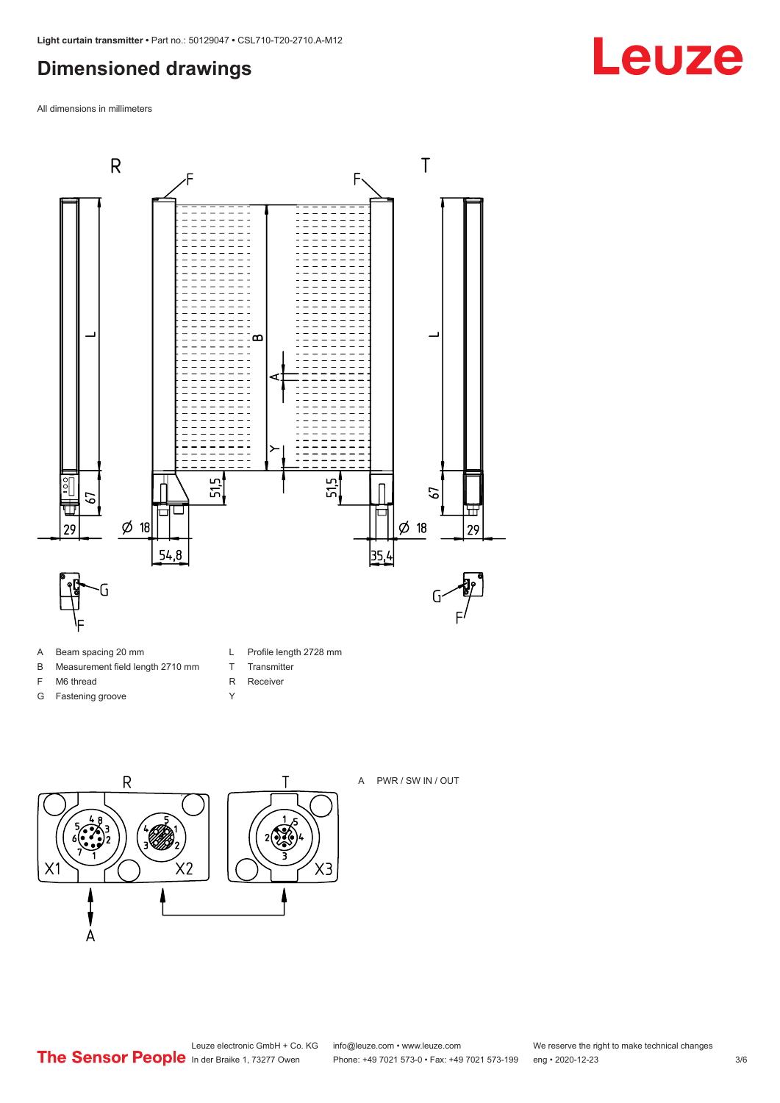## <span id="page-2-0"></span>**Dimensioned drawings**

All dimensions in millimeters



- A Beam spacing 20 mm
- B Measurement field length 2710 mm
- F M6 thread
- G Fastening groove
- L Profile length 2728 mm
- T Transmitter
- R Receiver
- Y



 $2\sqrt{2}$  $X3$ 

#### A PWR / SW IN / OUT

Leuze electronic GmbH + Co. KG info@leuze.com • www.leuze.com We reserve the right to make technical changes<br>
The Sensor People in der Braike 1, 73277 Owen Phone: +49 7021 573-0 • Fax: +49 7021 573-199 eng • 2020-12-23

Phone: +49 7021 573-0 • Fax: +49 7021 573-199 eng • 2020-12-23 3/6

## **Leuze**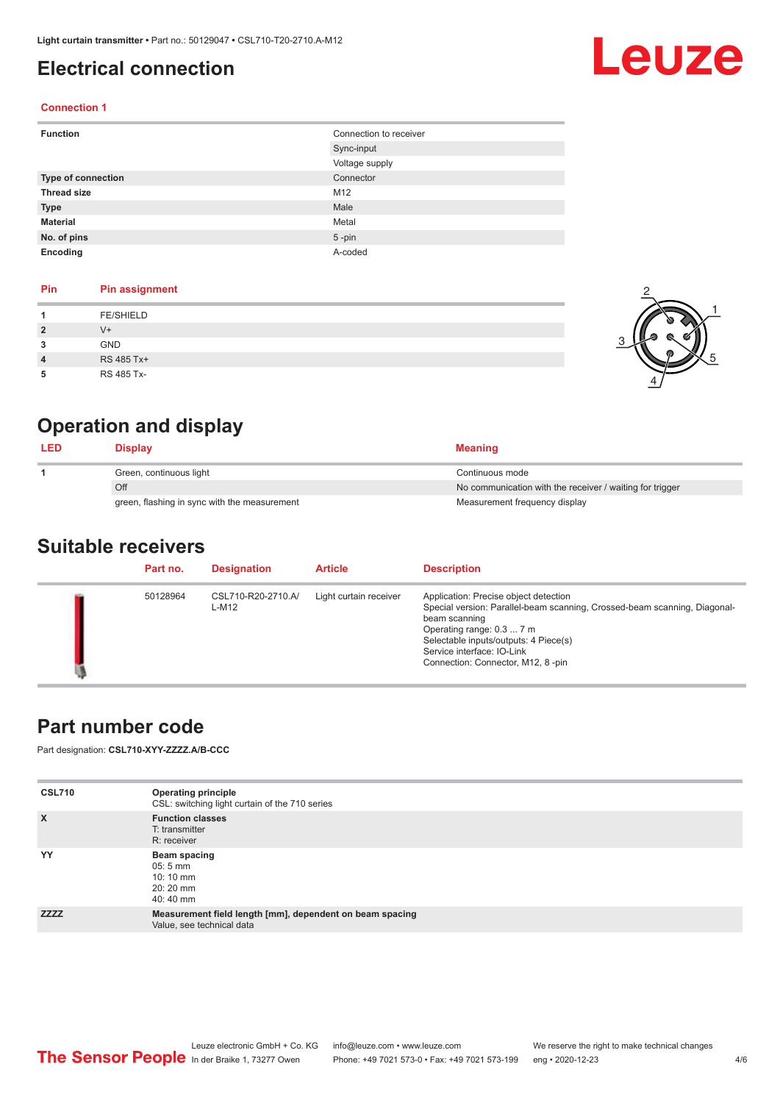## <span id="page-3-0"></span>**Electrical connection**

# Leuze

2

1

5

#### **Connection 1**

| <b>Function</b>           | Connection to receiver |
|---------------------------|------------------------|
|                           | Sync-input             |
|                           | Voltage supply         |
| <b>Type of connection</b> | Connector              |
| <b>Thread size</b>        | M12                    |
| <b>Type</b>               | Male                   |
| <b>Material</b>           | Metal                  |
| No. of pins               | $5$ -pin               |
| Encoding                  | A-coded                |

#### **Pin Pin assignment**

| 2<br>3 | <b>FE/SHIELD</b><br>V+<br><b>GND</b> |  |
|--------|--------------------------------------|--|
| 4<br>5 | RS 485 Tx+<br>RS 485 Tx-             |  |

## **Operation and display**

| <b>LED</b> | <b>Display</b>                               | <b>Meaning</b>                                           |
|------------|----------------------------------------------|----------------------------------------------------------|
|            | Green, continuous light                      | Continuous mode                                          |
|            | Off                                          | No communication with the receiver / waiting for trigger |
|            | green, flashing in sync with the measurement | Measurement frequency display                            |

#### **Suitable receivers**

| Part no. | <b>Designation</b>          | <b>Article</b>         | <b>Description</b>                                                                                                                                                                                                                                                           |
|----------|-----------------------------|------------------------|------------------------------------------------------------------------------------------------------------------------------------------------------------------------------------------------------------------------------------------------------------------------------|
| 50128964 | CSL710-R20-2710.A/<br>L-M12 | Light curtain receiver | Application: Precise object detection<br>Special version: Parallel-beam scanning, Crossed-beam scanning, Diagonal-<br>beam scanning<br>Operating range: 0.3  7 m<br>Selectable inputs/outputs: 4 Piece(s)<br>Service interface: IO-Link<br>Connection: Connector, M12, 8-pin |

### **Part number code**

Part designation: **CSL710-XYY-ZZZZ.A/B-CCC**

| <b>CSL710</b> | <b>Operating principle</b><br>CSL: switching light curtain of the 710 series          |
|---------------|---------------------------------------------------------------------------------------|
| $\mathsf{x}$  | <b>Function classes</b><br>T: transmitter<br>R: receiver                              |
| YY            | Beam spacing<br>$05:5 \, \text{mm}$<br>$10:10 \, \text{mm}$<br>$20:20$ mm<br>40:40 mm |
| <b>ZZZZ</b>   | Measurement field length [mm], dependent on beam spacing<br>Value, see technical data |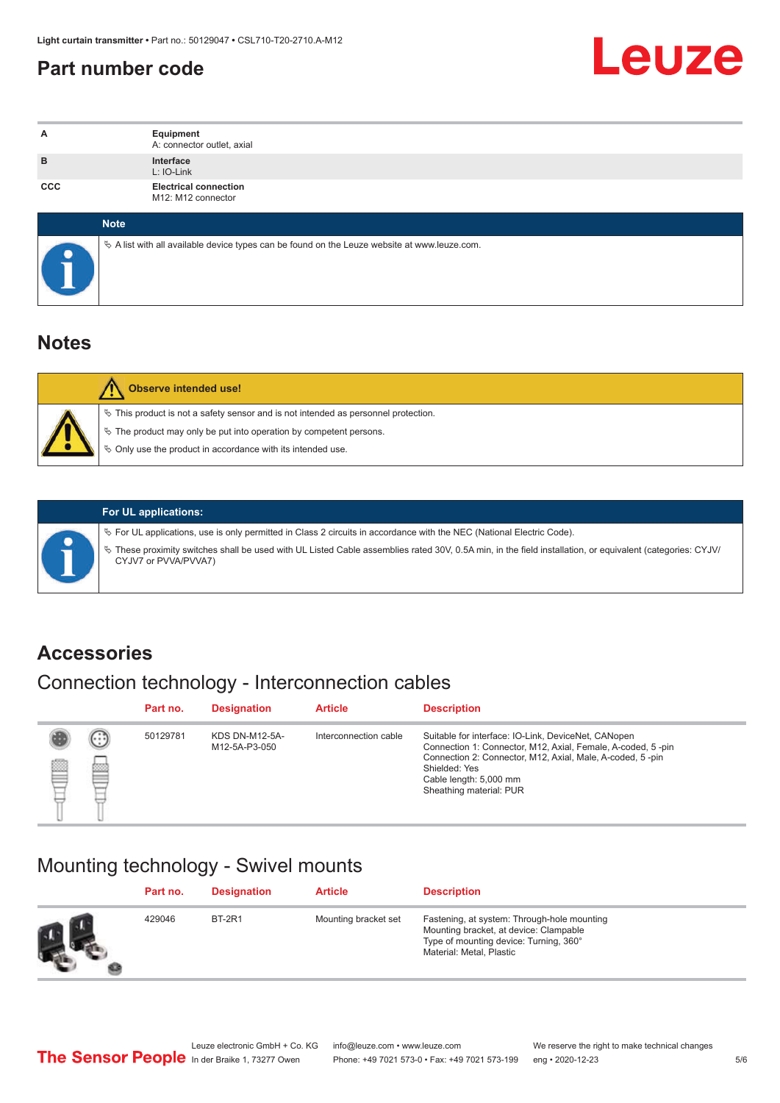## <span id="page-4-0"></span>**Part number code**



| A          | Equipment<br>A: connector outlet, axial                                                         |
|------------|-------------------------------------------------------------------------------------------------|
| B          | Interface<br>L: IO-Link                                                                         |
| <b>CCC</b> | <b>Electrical connection</b><br>M12: M12 connector                                              |
|            | <b>Note</b>                                                                                     |
|            | $\&$ A list with all available device types can be found on the Leuze website at www.leuze.com. |

### **Notes**

| <b>Observe intended use!</b>                                                                                                                                                                                                     |
|----------------------------------------------------------------------------------------------------------------------------------------------------------------------------------------------------------------------------------|
| $\%$ This product is not a safety sensor and is not intended as personnel protection.<br>$\&$ The product may only be put into operation by competent persons.<br>$\%$ Only use the product in accordance with its intended use. |

ª These proximity switches shall be used with UL Listed Cable assemblies rated 30V, 0.5A min, in the field installation, or equivalent (categories: CYJV/

ª For UL applications, use is only permitted in Class 2 circuits in accordance with the NEC (National Electric Code).

**For UL applications:**

CYJV7 or PVVA/PVVA7)

**Accessories**

## Connection technology - Interconnection cables

|   |                              | Part no. | <b>Designation</b>                     | <b>Article</b>        | <b>Description</b>                                                                                                                                                                                                                                    |
|---|------------------------------|----------|----------------------------------------|-----------------------|-------------------------------------------------------------------------------------------------------------------------------------------------------------------------------------------------------------------------------------------------------|
| ▩ | $\left( \ldots \right)$<br>▩ | 50129781 | <b>KDS DN-M12-5A-</b><br>M12-5A-P3-050 | Interconnection cable | Suitable for interface: IO-Link, DeviceNet, CANopen<br>Connection 1: Connector, M12, Axial, Female, A-coded, 5-pin<br>Connection 2: Connector, M12, Axial, Male, A-coded, 5-pin<br>Shielded: Yes<br>Cable length: 5,000 mm<br>Sheathing material: PUR |

### Mounting technology - Swivel mounts

| Part no. | <b>Designation</b> | <b>Article</b>       | <b>Description</b>                                                                                                                                          |
|----------|--------------------|----------------------|-------------------------------------------------------------------------------------------------------------------------------------------------------------|
| 429046   | <b>BT-2R1</b>      | Mounting bracket set | Fastening, at system: Through-hole mounting<br>Mounting bracket, at device: Clampable<br>Type of mounting device: Turning, 360°<br>Material: Metal, Plastic |